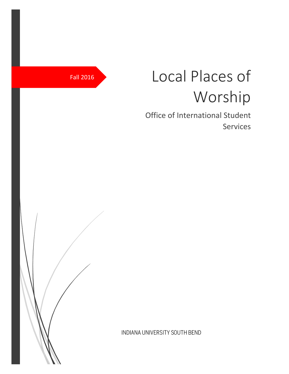# Fall 2016 Local Places of Worship

Office of International Student Services

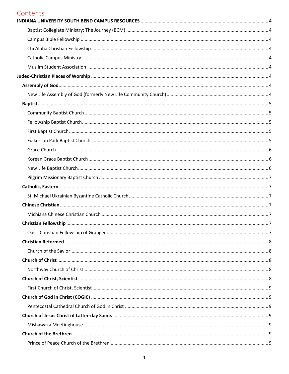# Contents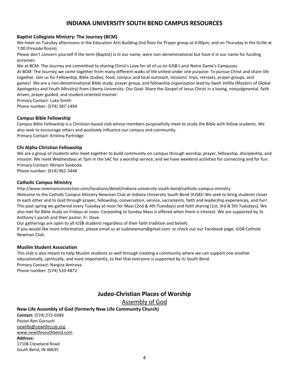# **INDIANA UNIVERSITY SOUTH BEND CAMPUS RESOURCES**

#### <span id="page-4-1"></span><span id="page-4-0"></span>**Baptist Collegiate Ministry: The Journey (BCM)**

We meet on Tuesday afternoons in the Education Arts Building 2nd floor for Prayer group at 4:00pm, and on Thursday in the Grille at 7:00 (Fireside Room).

Please don't concern yourself if the term (Baptist) is in our name, were non-denominational but have it in our name for funding purposes.

We at BCM: The Journey are committed to sharing Christ's Love for all of us on IUSB's and Notre Dame's Campuses.

At BCM: The Journey we come together from many different walks of life united under one purpose: To pursue Christ and share life together. Join us for Fellowship, Bible studies, food, campus and local outreach, missions' trips, retreats, prayer groups, and games! We are a non-denominational Bible study, prayer group, and fellowship organization lead by Sweh Velilla (Masters of Global Apologetics and Youth Ministry) from Liberty University. Our Goal: Share the Gospel of Jesus Christ in a loving, nonjudgmental, faith driven, prayer guided, and student oriented manner.

Primary Contact: Luke Smith Phone number: (574) 387-1494

<span id="page-4-2"></span>**Campus Bible Fellowship**

Campus Bible Fellowship is a Christian-based club whose members purposefully meet to study the Bible with fellow students. We also seek to encourage others and positively influence our campus and community. Primary Contact: Kristina Partridge

#### <span id="page-4-3"></span>**Chi Alpha Christian Fellowship**

We are a group of students who meet together to build community on campus through worship, prayer, fellowship, discipleship, and mission. We meet Wednesdays at 7pm in the SAC for a worship service, and we have weekend activities for connecting and for fun. Primary Contact: Miriam Svoboda

Phone number: (614) 962-3448

#### <span id="page-4-4"></span>**Catholic Campus Ministry**

<http://www.newmanconnection.com/locations/detail/indiana-university-south-bend/catholic-campus-ministry> Welcome to the Catholic Campus Ministry Newman Club at Indiana University South Bend (IUSB)! We seek to bring students closer to each other and to God through prayer, fellowship, conversation, service, sacraments, faith and leadership experiences, and fun! This past spring we gathered every Tuesday at noon for Mass (2nd & 4th Tuesdays) and faith sharing (1st, 3rd & 5th Tuesdays). We also met for Bible study on Fridays at noon. Carpooling to Sunday Mass is offered when there is interest. We are supported by St. Anthony's parish and their pastor, Fr. Dave.

Our gatherings are open to all IUSB students regardless of their faith tradition and beliefs.

If you would like more information, please email us at [iusbnewman@gmail.com](mailto:iusbnewman@gmail.com) or check out our Facebook page[, IUSB Catholic](https://www.facebook.com/groups/336964743009115/)  [Newman Club.](https://www.facebook.com/groups/336964743009115/)

#### <span id="page-4-5"></span>**Muslim Student Association**

This club is also meant to help Muslim students as well through creating a community where we can support one another educationally, spiritually, and most importantly, to feel that everyone is supported by IU South Bend. Primary Contact: Nargiza Amirova Phone number: (574) 520-4872

# **Judeo-Christian Places of Worship**

Assembly of God

#### <span id="page-4-8"></span><span id="page-4-7"></span><span id="page-4-6"></span>**New Life Assembly of God (formerly New Life Community Church)**

**Contact:** (574) 272-0384 Pastor Ron Gorsuch [newlife@newlifeccsb.org](mailto:pastor@newlifeccsb.org) [www.newlifesouthbend.com](http://www.newlifesouthbend.com/) **Address:** 17106 Cleveland Road South Bend, IN 46635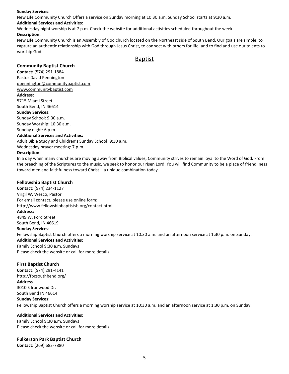#### **Sunday Services:**

New Life Community Church Offers a service on Sunday morning at 10:30 a.m. Sunday School starts at 9:30 a.m.

#### **Additional Services and Activities:**

Wednesday night worship is at 7 p.m. Check the website for additional activities scheduled throughout the week.

#### **Description:**

New Life Community Church is an Assembly of God church located on the Northeast side of South Bend. Our goals are simple: to capture an authentic relationship with God through Jesus Christ, to connect with others for life, and to find and use our talents to worship God.

#### Baptist

#### <span id="page-5-1"></span><span id="page-5-0"></span>**Community Baptist Church**

**Contact:** (574) 291-1884 Pastor David Pennington [dpennington@communitybaptist.com](mailto:dpennington@communitybaptist.com) [www.communitybaptist.com](http://www.communitybaptist.com/)

#### **Address:**

5715 Miami Street South Bend, IN 46614 **Sunday Services:**

Sunday School: 9:30 a.m. Sunday Worship: 10:30 a.m. Sunday night: 6 p.m.

#### **Additional Services and Activities:**

Adult Bible Study and Children's Sunday School: 9:30 a.m. Wednesday prayer meeting: 7 p.m.

#### **Description:**

In a day when many churches are moving away from Biblical values, Community strives to remain loyal to the Word of God. From the preaching of the Scriptures to the music, we seek to honor our risen Lord. You will find Community to be a place of friendliness toward men and faithfulness toward Christ – a unique combination today.

#### <span id="page-5-2"></span>**Fellowship Baptist Church**

**Contact:** (574) 234-1127 Virgil W. Wesco, Pastor For email contact, please use online form: <http://www.fellowshipbaptistsb.org/contact.html> **Address:** 4849 W. Ford Street South Bend, IN 46619 **Sunday Services:** Fellowship Baptist Church offers a morning worship service at 10:30 a.m. and an afternoon service at 1:30 p.m. on Sunday. **Additional Services and Activities:** Family School 9:30 a.m. Sundays Please check the website or call for more details.

#### <span id="page-5-3"></span>**First Baptist Church**

**Contact**: (574) 291-4141 <http://fbcsouthbend.org/> **Address** 3010 S Ironwood Dr. South Bend IN 46614 **Sunday Services:** Fellowship Baptist Church offers a morning worship service at 10:30 a.m. and an afternoon service at 1:30 p.m. on Sunday.

#### **Additional Services and Activities:**

Family School 9:30 a.m. Sundays Please check the website or call for more details.

#### <span id="page-5-4"></span>**Fulkerson Park Baptist Church**

**Contact:** (269) 683-7880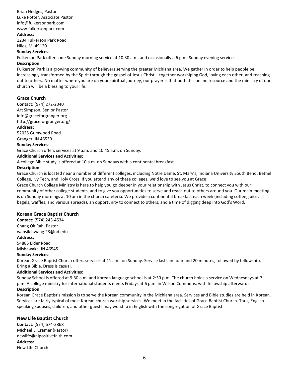Brian Hedges, Pastor Luke Potter, Associate Pastor [info@fulkersonpark.com](mailto:info@fulkersonpark.com) [www.fulkersonpark.com](http://www.fulkersonpark.com/)

#### **Address:**

1234 Fulkerson Park Road Niles, MI 49120

#### **Sunday Services:**

Fulkerson Park offers one Sunday morning service at 10:30 a.m. and occasionally a 6 p.m. Sunday evening service.

#### **Description:**

Fulkerson Park is a growing community of believers serving the greater Michiana area. We gather in order to help people be increasingly transformed by the Spirit through the gospel of Jesus Christ – together worshiping God, loving each other, and reaching out to others. No matter where you are on your spiritual journey, our prayer is that both this online resource and the ministry of our church will be a blessing to your life.

#### <span id="page-6-0"></span>**Grace Church**

**Contact:** (574) 272-2040 Art Simpson, Senior Pastor [info@graceforgranger.org](mailto:info@graceforgranger.org) <http://graceforgranger.org/> **Address:** 52025 Gumwood Road Granger, IN 46530

# **Sunday Services:**

Grace Church offers services at 9 a.m. and 10:45 a.m. on Sunday.

#### **Additional Services and Activities:**

A college Bible study is offered at 10 a.m. on Sundays with a continental breakfast.

#### **Description:**

Grace Church is located near a number of different colleges, including Notre Dame, St. Mary's, Indiana University South Bend, Bethel College, Ivy Tech, and Holy Cross. If you attend any of these colleges, we'd love to see you at Grace!

Grace Church College Ministry is here to help you go deeper in your relationship with Jesus Christ, to connect you with our community of other college students, and to give you opportunities to serve and reach out to others around you. Our main meeting is on Sunday mornings at 10 am in the church cafeteria. We provide a continental breakfast each week (including coffee, juice, bagels, waffles, and various spreads), an opportunity to connect to others, and a time of digging deep into God's Word.

#### <span id="page-6-1"></span>**Korean Grace Baptist Church**

**Contact:** (574) 243-4534 Chang Ok Rah, Pastor [wansik.hwang.23@nd.edu](mailto:wansik.hwang.23@nd.edu)

#### **Address:**

54885 Elder Road Mishawaka, IN 46545

#### **Sunday Services:**

Korean Grace Baptist Church offers services at 11 a.m. on Sunday. Service lasts an hour and 20 minutes, followed by fellowship. Bring a Bible. Dress is casual.

#### **Additional Services and Activities:**

Sunday School is offered at 9:30 a.m. and Korean language school is at 2:30 p.m. The church holds a service on Wednesdays at 7 p.m. A college ministry for international students meets Fridays at 6 p.m. in Wilson Commons, with fellowship afterwards. **Description:**

Korean Grace Baptist's mission is to serve the Korean community in the Michiana area. Services and Bible studies are held in Korean. Services are fairly typical of most Korean church worship services. We meet in the facilities of Grace Baptist Church. Thus, Englishspeaking spouses, children, and other guests may worship in English with the congregation of Grace Baptist.

#### <span id="page-6-2"></span>**New Life Baptist Church**

**Contact:** (574) 674-2868 Michael L. Cramer (Pastor) [newlife@nlpositivefaith.com](mailto:newlife@nlpositivefaith.com) **Address:** New Life Church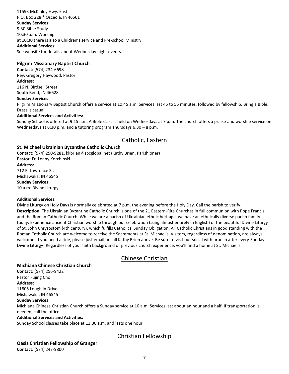#### 11593 McKinley Hwy. East P.O. Box 228 \* Osceola, In 46561 **Sunday Services:** 9:30 Bible Study 10:30 a.m. Worship at 10:30 there is also a Children's service and Pre-school Ministry **Additional Services:** See website for details about Wednesday night events.

#### <span id="page-7-0"></span>**Pilgrim Missionary Baptist Church**

**Contact:** (574) 234-6698 Rev. Gregory Haywood, Pastor **Address:** 116 N. Birdsell Street

South Bend, IN 46628

#### **Sunday Services**:

Pilgrim Missionary Baptist Church offers a service at 10:45 a.m. Services last 45 to 55 minutes, followed by fellowship. Bring a Bible. Dress is casual.

#### **Additional Services and Activities:**

Sunday School is offered at 9:15 a.m. A Bible class is held on Wednesdays at 7 p.m. The church offers a praise and worship service on Wednesdays at 6:30 p.m. and a tutoring program Thursdays 6:30 – 8 p.m.

# Catholic, Eastern

#### <span id="page-7-2"></span><span id="page-7-1"></span>**St. Michael Ukrainian Byzantine Catholic Church**

**Contact:** (574) 250-9281, kkbrien@sbcglobal.net (Kathy Brien, Parishioner) **Pastor**: Fr. Lenny Korchinski

**Address:** 712 E. Lawrence St. Mishawaka, IN 46545 **Sunday Services:** 10 a.m. Divine Liturgy

#### **Additional Services:**

Divine Liturgy on Holy Days is normally celebrated at 7 p.m. the evening before the Holy Day. Call the parish to verify. **Description:** The Ukrainian Byzantine Catholic Church is one of the 21 Eastern-Rite Churches in full communion with Pope Francis and the Roman Catholic Church. While we are a parish of Ukrainian ethnic heritage, we have an ethnically diverse parish family today. Experience ancient Christian worship through our celebration (sung almost entirely in English) of the beautiful Divine Liturgy of St. John Chrysostom (4th century), which fulfills Catholics' Sunday Obligation. All Catholic Christians in good standing with the Roman Catholic Church are welcome to receive the Sacraments at St. Michael's. Visitors, regardless of denomination, are always welcome. If you need a ride, please just email or call Kathy Brien above. Be sure to visit our social with brunch after every Sunday Divine Liturgy! Regardless of your faith background or previous church experience, you'll find a home at St. Michael's.

# Chinese Christian

#### <span id="page-7-4"></span><span id="page-7-3"></span>**Michiana Chinese Christian Church**

**Contact:** (574) 256-9422 Pastor Fujing Cho **Address:** 11805 Loughlin Drive Mishawaka, IN 46545

## **Sunday Services:**

Michiana Chinese Christian Church offers a Sunday service at 10 a.m. Services last about an hour and a half. If transportation is needed, call the office.

#### **Additional Services and Activities:**

Sunday School classes take place at 11:30 a.m. and lasts one hour.

# Christian Fellowship

## <span id="page-7-6"></span><span id="page-7-5"></span>**Oasis Christian Fellowship of Granger**

**Contact:** (574) 247-9800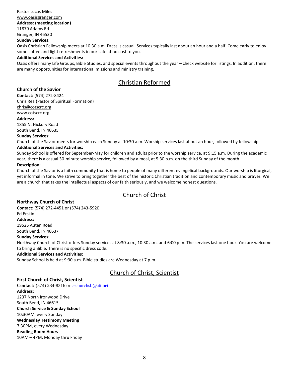Pastor Lucas Miles [www.oasisgranger.com](http://www.oasisgranger.com/) **Address: (meeting location)** 11870 Adams Rd Granger, IN 46530 **Sunday Services:**

Oasis Christian Fellowship meets at 10:30 a.m. Dress is casual. Services typically last about an hour and a half. Come early to enjoy some coffee and light refreshments in our cafe at no cost to you.

#### **Additional Services and Activities:**

Oasis offers many Life Groups, Bible Studies, and special events throughout the year – check website for listings. In addition, there are many opportunities for international missions and ministry training.

# Christian Reformed

#### <span id="page-8-1"></span><span id="page-8-0"></span>**Church of the Savior**

**Contact:** (574) 272-8424 Chris Rea (Pastor of Spiritual Formation) [chris@cotscrc.org](mailto:chris@cotscrc.org) [www.cotscrc.org](http://www.cotscrc.org/) **Address:** 1855 N. Hickory Road South Bend, IN 46635 **Sunday Services:**

Church of the Savior meets for worship each Sunday at 10:30 a.m. Worship services last about an hour, followed by fellowship. **Additional Services and Activities:**

Sunday School is offered for September-May for children and adults prior to the worship service, at 9:15 a.m. During the academic year, there is a casual 30-minute worship service, followed by a meal, at 5:30 p.m. on the third Sunday of the month.

#### **Description:**

Church of the Savior is a faith community that is home to people of many different evangelical backgrounds. Our worship is liturgical, yet informal in tone. We strive to bring together the best of the historic Christian tradition and contemporary music and prayer. We are a church that takes the intellectual aspects of our faith seriously, and we welcome honest questions.

# Church of Christ

#### <span id="page-8-3"></span><span id="page-8-2"></span>**Northway Church of Christ**

**Contact:** (574) 272-4451 or (574) 243-5920 Ed Erskin **Address:** 19525 Auten Road South Bend, IN 46637 **Sunday Services:** Northway Church of Christ offers Sunday services at 8:30 a.m., 10:30 a.m. and 6:00 p.m. The services last one hour. You are welcome to bring a Bible. There is no specific dress code. **Additional Services and Activities:**

Sunday School is held at 9:30 a.m. Bible studies are Wednesday at 7 p.m.

# Church of Christ, Scientist

#### <span id="page-8-4"></span>**First Church of Christ, Scientist**

**Contact:** (574) 234-8316 o[r cschurchsb@att.net](mailto:cschurchsb@att.net) **Address**: 1237 North Ironwood Drive South Bend, IN 46615 **Church Service & Sunday School** 10:30AM, every Sunday **Wednesday Testimony Meeting** 7:30PM, every Wednesday **Reading Room Hours** 10AM – 4PM, Monday thru Friday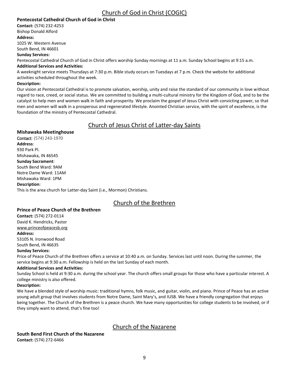# Church of God in Christ (COGIC)

#### <span id="page-9-1"></span><span id="page-9-0"></span>**Pentecostal Cathedral Church of God in Christ**

**Contact:** (574) 232-4253

Bishop Donald Alford **Address:** 1025 W. Western Avenue

South Bend, IN 46601

#### **Sunday Services:**

Pentecostal Cathedral Church of God in Christ offers worship Sunday mornings at 11 a.m. Sunday School begins at 9:15 a.m. **Additional Services and Activities:**

A weeknight service meets Thursdays at 7:30 p.m. Bible study occurs on Tuesdays at 7 p.m. Check the website for additional activities scheduled throughout the week.

#### **Description:**

Our vision at Pentecostal Cathedral is to promote salvation, worship, unity and raise the standard of our community in love without regard to race, creed, or social status. We are committed to building a multi-cultural ministry for the Kingdom of God, and to be the catalyst to help men and women walk in faith and prosperity. We proclaim the gospel of Jesus Christ with convicting power, so that men and women will walk in a prosperous and regenerated lifestyle. Anointed Christian service, with the spirit of excellence, is the foundation of the ministry of Pentecostal Cathedral.

# Church of Jesus Christ of Latter-day Saints

#### <span id="page-9-2"></span>**Mishawaka Meetinghouse**

Contact: (574) 243-1970 **Address**: 930 Park Pl. Mishawaka, IN 46545 **Sunday Sacrament**: South Bend Ward: 9AM Notre Dame Ward: 11AM Mishawaka Ward: 1PM **Description**: This is the area church for Latter-day Saint (i.e., Mormon) Christians.

# Church of the Brethren

#### <span id="page-9-4"></span><span id="page-9-3"></span>**Prince of Peace Church of the Brethren**

**Contact:** (574) 272-0114 David K. Hendricks, Pastor [www.princeofpeacesb.org](http://www.princeofpeacesb.org/)

#### **Address:**

53105 N. Ironwood Road South Bend, IN 46635

#### **Sunday Services:**

Price of Peace Church of the Brethren offers a service at 10:40 a.m. on Sunday. Services last until noon. During the summer, the service begins at 9:30 a.m. Fellowship is held on the last Sunday of each month.

#### **Additional Services and Activities:**

Sunday School is held at 9:30 a.m. during the school year. The church offers small groups for those who have a particular interest. A college ministry is also offered.

#### **Description:**

We have a blended style of worship music: traditional hymns, folk music, and guitar, violin, and piano. Prince of Peace has an active young adult group that involves students from Notre Dame, Saint Mary's, and IUSB. We have a friendly congregation that enjoys being together. The Church of the Brethren is a peace church. We have many opportunities for college students to be involved, or if they simply want to attend, that's fine too!

# <span id="page-9-6"></span><span id="page-9-5"></span>**South Bend First Church of the Nazarene**

**Contact:** (574) 272-6466

# Church of the Nazarene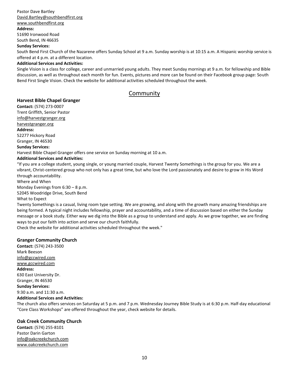#### Pastor Dave Bartley [David.Bartley@southbendfirst.org](mailto:David.Bartley@southbendfirst.org)

[www.southbendfirst.org](http://www.southbendfirst.org/)

#### **Address:**

51690 Ironwood Road South Bend, IN 46635

#### **Sunday Services:**

South Bend First Church of the Nazarene offers Sunday School at 9 a.m. Sunday worship is at 10:15 a.m. A Hispanic worship service is offered at 4 p.m. at a different location.

#### **Additional Services and Activities:**

Single Vision is a class for college, career and unmarried young adults. They meet Sunday mornings at 9 a.m. for fellowship and Bible discussion, as well as throughout each month for fun. Events, pictures and more can be found on their Facebook group page: South Bend First Single Vision. Check the website for additional activities scheduled throughout the week.

# Community

#### <span id="page-10-1"></span><span id="page-10-0"></span>**Harvest Bible Chapel Granger**

**Contact:** (574) 273-0007 Trent Griffith, Senior Pastor

[info@harvestgranger.org](mailto:info@harvestgranger.org)

#### [harvestgranger.org](http://campusministry.nd.edu/ecumenical-interfaith/area-churches/worship-directory/christian-a-e/harvestgranger.org)

#### **Address:**

52277 Hickory Road Granger, IN 46530

#### **Sunday Services:**

Harvest Bible Chapel Granger offers one service on Sunday morning at 10 a.m.

#### **Additional Services and Activities:**

"If you are a college student, young single, or young married couple, Harvest Twenty Somethings is the group for you. We are a vibrant, Christ-centered group who not only has a great time, but who love the Lord passionately and desire to grow in His Word through accountability.

Where and When

Monday Evenings from 6:30 – 8 p.m. 52045 Woodridge Drive, South Bend

#### What to Expect

Twenty Somethings is a casual, living room type setting. We are growing, and along with the growth many amazing friendships are being formed. A typical night includes fellowship, prayer and accountability, and a time of discussion based on either the Sunday message or a book study. Either way we dig into the Bible as a group to understand and apply. As we grow together, we are finding ways to put our faith into action and serve our church faithfully.

Check the website for additional activities scheduled throughout the week."

#### <span id="page-10-2"></span>**Granger Community Church**

**Contact:** (574) 243-3500 Mark Beeson [info@gccwired.com](mailto:info@gccwired.com) [www.gccwired.com](http://www.gccwired.com/) **Address:** 630 East University Dr. Granger, IN 46530 **Sunday Services:** 9:30 a.m. and 11:30 a.m.

#### **Additional Services and Activities:**

The church also offers services on Saturday at 5 p.m. and 7 p.m. Wednesday Journey Bible Study is at 6:30 p.m. Half-day educational "Core Class Workshops" are offered throughout the year, check website for details.

#### <span id="page-10-3"></span>**Oak Creek Community Church**

**Contact:** (574) 255-8101 Pastor Darin Garton [info@oakcreekchurch.com](mailto:info@oakcreekchurch.com) [www.oakcreekchurch.com](http://www.oakcreekchurch.com/)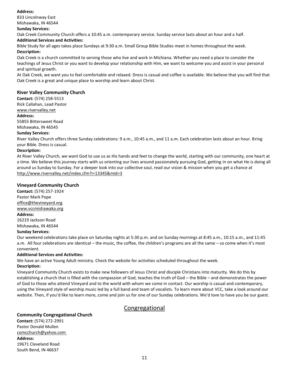#### **Address:**

833 Lincolnway East Mishawaka, IN 46544

#### **Sunday Services:**

Oak Creek Community Church offers a 10:45 a.m. contemporary service. Sunday service lasts about an hour and a half.

#### **Additional Services and Activities:**

Bible Study for all ages takes place Sundays at 9:30 a.m. Small Group Bible Studies meet in homes throughout the week. **Description:**

Oak Creek is a church committed to serving those who live and work in Michiana. Whether you need a place to consider the teachings of Jesus Christ or you want to develop your relationship with Him, we want to welcome you and assist in your personal and spiritual growth.

At Oak Creek, we want you to feel comfortable and relaxed. Dress is casual and coffee is available. We believe that you will find that Oak Creek is a great and unique place to worship and learn about Christ.

#### <span id="page-11-0"></span>**River Valley Community Church**

**Contact:** (574) 258-5513

Rick Callahan, Lead Pastor

#### [www.rivervalley.net](http://www.rivervalley.net/)

#### **Address:**

55855 Bittersweet Road Mishawaka, IN 46545

#### **Sunday Services:**

River Valley Church offers three Sunday celebrations: 9 a.m., 10:45 a.m., and 11 a.m. Each celebration lasts about an hour. Bring your Bible. Dress is casual.

#### **Description:**

At River Valley Church, we want God to use us as His hands and feet to change the world, starting with our community, one heart at a time. We believe this journey starts with us orienting our lives around passionately pursuing God, getting in on what He is doing all around us Sunday to Sunday. For a deeper look into our collective soul, read our vision & mission when you get a chance at <http://www.rivervalley.net/index.cfm?i=13345&mid=3>

#### <span id="page-11-1"></span>**Vineyard Community Church**

**Contact:** (574) 257-1924 Pastor Mark Pope [office@thevineyard.org](mailto:office@thevineyard.org) [www.vccmishawaka.org](http://www.vccmishawaka.org/) **Address:**

16219 Jackson Road Mishawaka, IN 46544

#### **Sunday Services:**

Our weekend celebrations take place on Saturday nights at 5:30 p.m. and on Sunday mornings at 8:45 a.m., 10:15 a.m., and 11:45 a.m. All four celebrations are identical – the music, the coffee, the children's programs are all the same – so come when it's most convenient.

#### **Additional Services and Activities:**

We have an active Young Adult ministry. Check the website for activities scheduled throughout the week.

#### **Description:**

Vineyard Community Church exists to make new followers of Jesus Christ and disciple Christians into maturity. We do this by establishing a church that is filled with the compassion of God, teaches the truth of God – the Bible – and demonstrates the power of God to those who attend Vineyard and to the world with whom we come in contact. Our worship is casual and contemporary, using the Vineyard style of worship music led by a full band and team of vocalists. To learn more about VCC, take a look around our website. Then, if you'd like to learn more, come and join us for one of our Sunday celebrations. We'd love to have you be our guest.

# Congregational

#### <span id="page-11-3"></span><span id="page-11-2"></span>**Community Congregational Church**

**Contact:** (574) 272-2991 Pastor Donald Mullen [comcchurch@yahoo.com](mailto:comcchurch@yahoo.com) **Address:** 19671 Cleveland Road South Bend, IN 46637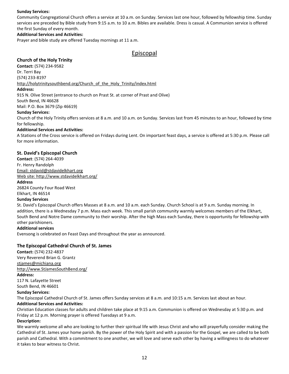#### **Sunday Services:**

Community Congregational Church offers a service at 10 a.m. on Sunday. Services last one hour, followed by fellowship time. Sunday services are preceded by Bible study from 9:15 a.m. to 10 a.m. Bibles are available. Dress is casual. A Communion service is offered the first Sunday of every month.

#### **Additional Services and Activities:**

Prayer and bible study are offered Tuesday mornings at 11 a.m.

# Episcopal

#### <span id="page-12-1"></span><span id="page-12-0"></span>**Church of the Holy Trinity**

**Contact:** (574) 234-9582 Dr. Terri Bay (574) 233-8197 [http://holytrinitysouthbend.org/Church\\_of\\_the\\_Holy\\_Trinity/index.html](http://holytrinitysouthbend.org/Church_of_the_Holy_Trinity/index.html)

#### **Address:**

915 N. Olive Street (entrance to church on Prast St. at corner of Prast and Olive)

#### South Bend, IN 46628

Mail: P.O. Box 3679 (Zip 46619)

#### **Sunday Services:**

Church of the Holy Trinity offers services at 8 a.m. and 10 a.m. on Sunday. Services last from 45 minutes to an hour, followed by time for fellowship.

#### **Additional Services and Activities:**

A Stations of the Cross service is offered on Fridays during Lent. On important feast days, a service is offered at 5:30 p.m. Please call for more information.

#### <span id="page-12-2"></span>**St. David's Episcopal Church**

**Contact**: (574) 264-4039 Fr. Henry Randolph [Email: stdavid@stdavidelkhart.org](mailto:stdavid@stdavidelkhart.org) [Web site: http://www.stdavidelkhart.org/](http://www.stdavidelkhart.org/) **Address**

26824 County Four Road West Elkhart, IN 46514

# **Sunday Services**

St. David's Episcopal Church offers Masses at 8 a.m. and 10 a.m. each Sunday. Church School is at 9 a.m. Sunday morning. In addition, there is a Wednesday 7 p.m. Mass each week. This small parish community warmly welcomes members of the Elkhart, South Bend and Notre Dame community to their worship. After the high Mass each Sunday, there is opportunity for fellowship with other parishioners.

#### **Additional services**

Evensong is celebrated on Feast Days and throughout the year as announced.

#### <span id="page-12-3"></span>**The Episcopal Cathedral Church of St. James**

**Contact:** (574) 232-4837 Very Reverend Brian G. Grantz [stjames@michiana.org](mailto:stjames@michiana.org) [http://www.StJamesSouthBend.org/](http://www.stjamessouthbend.org/)

#### **Address:**

117 N. Lafayette Street South Bend, IN 46601

#### **Sunday Services:**

The Episcopal Cathedral Church of St. James offers Sunday services at 8 a.m. and 10:15 a.m. Services last about an hour.

#### **Additional Services and Activities:**

Christian Education classes for adults and children take place at 9:15 a.m. Communion is offered on Wednesday at 5:30 p.m. and Friday at 12 p.m. Morning prayer is offered Tuesdays at 9 a.m.

#### **Description:**

We warmly welcome all who are looking to further their spiritual life with Jesus Christ and who will prayerfully consider making the Cathedral of St. James your home parish. By the power of the Holy Spirit and with a passion for the Gospel, we are called to be both parish and Cathedral. With a commitment to one another, we will love and serve each other by having a willingness to do whatever it takes to bear witness to Christ.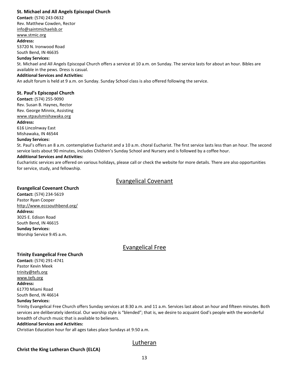#### <span id="page-13-0"></span>**St. Michael and All Angels Episcopal Church**

**Contact:** (574) 243-0632 Rev. Matthew Cowden, Rector

[info@saintmichaelsb.or](mailto:%E2%80%8Binfo@saintmichaelsb.or) [www.stmic.org](http://www.stmic.org/)

# **Address:**

53720 N. Ironwood Road South Bend, IN 46635

#### **Sunday Services:**

St. Michael and All Angels Episcopal Church offers a service at 10 a.m. on Sunday. The service lasts for about an hour. Bibles are available in the pews. Dress is casual.

#### **Additional Services and Activities:**

An adult forum is held at 9 a.m. on Sunday. Sunday School class is also offered following the service.

#### <span id="page-13-1"></span>**St. Paul's Episcopal Church**

**Contact:** (574) 255-9090 Rev. Susan B. Haynes, Rector Rev. George Minnix, Assisting [www.stpaulsmishawaka.org](http://www.stpaulsmishawaka.org/)

#### **Address:**

616 Lincolnway East Mishawaka, IN 46544

#### **Sunday Services:**

St. Paul's offers an 8 a.m. contemplative Eucharist and a 10 a.m. choral Eucharist. The first service lasts less than an hour. The second service lasts about 90 minutes, includes Children's Sunday School and Nursery and is followed by a coffee hour.

#### **Additional Services and Activities:**

Eucharistic services are offered on various holidays, please call or check the website for more details. There are also opportunities for service, study, and fellowship.

# Evangelical Covenant

#### <span id="page-13-3"></span><span id="page-13-2"></span>**Evangelical Covenant Church**

**Contact:** (574) 234-5619 Pastor Ryan Cooper <http://www.eccsouthbend.org/> **Address:** 3025 E. Edison Road South Bend, IN 46615 **Sunday Services:** Worship Service 9:45 a.m.

# Evangelical Free

#### <span id="page-13-5"></span><span id="page-13-4"></span>**Trinity Evangelical Free Church**

**Contact:** (574) 291-4741 Pastor Kevin Meek [trinity@tefs.org](http://campusministry.nd.edu/ecumenical-interfaith/area-churches/worship-directory/christian-a-e/,ailto:trinity@tefs.org) [www.tefs.org](http://www.tefs.org/) **Address:** 61770 Miami Road South Bend, IN 46614 **Sunday Services:**

Trinity Evangelical Free Church offers Sunday services at 8:30 a.m. and 11 a.m. Services last about an hour and fifteen minutes. Both services are deliberately identical. Our worship style is "blended"; that is, we desire to acquaint God's people with the wonderful breadth of church music that is available to believers.

#### **Additional Services and Activities:**

Christian Education hour for all ages takes place Sundays at 9:50 a.m.

# Lutheran

#### <span id="page-13-7"></span><span id="page-13-6"></span>**Christ the King Lutheran Church (ELCA)**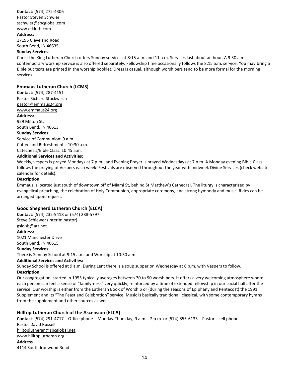**Contact:** (574) 272-4306 Pastor Steven Schwier [sschwier@sbcglobal.com](mailto:sschwier@sbcglobal.com) [www.ctkluth.com](http://www.ctkluth.com/) **Address:**

#### 17195 Cleveland Road South Bend, IN 46635

#### **Sunday Services:**

Christ the King Lutheran Church offers Sunday services at 8:15 a.m. and 11 a.m. Services last about an hour. A 9:30 a.m. contemporary worship service is also offered separately. Fellowship time occasionally follows the 8:15 a.m. service. You may bring a Bible but texts are printed in the worship booklet. Dress is casual, although worshipers tend to be more formal for the morning services.

#### <span id="page-14-0"></span>**Emmaus Lutheran Church (LCMS)**

**Contact:** (574) 287-4151 Pastor Richard Stuckwisch [pastor@emmaus24.org](mailto:pastor@emmaus24.org) [www.emmaus24.org](http://www.emmaus24.org/) **Address:** 929 Milton St. South Bend, IN 46613 **Sunday Services:** Service of Communion: 9 a.m. Coffee and Refreshments: 10:30 a.m. Catechesis/Bible Class: 10:45 a.m.

#### **Additional Services and Activities:**

Weekly, vespers is prayed Mondays at 7 p.m., and Evening Prayer is prayed Wednesdays at 7 p.m. A Monday evening Bible Class follows the praying of Vespers each week. Festivals are observed throughout the year with midweek Divine Services (check website calendar for details).

#### **Description:**

Emmaus is located just south of downtown off of Miami St, behind St Matthew's Cathedral. The liturgy is characterized by evangelical preaching, the celebration of Holy Communion, appropriate ceremony, and strong hymnody and music. Rides can be arranged upon request.

#### <span id="page-14-1"></span>**Good Shepherd Lutheran Church (ELCA)**

**Contact:** (574) 232-9418 or (574) 288-5797 Steve Schiewer (interim pastor) [gslc.sb@att.net](mailto:gslc.sb@att.net) **Address:** 1021 Manchester Drive South Bend, IN 46615 **Sunday Services:** There is Sunday School at 9:15 a.m. and Worship at 10:30 a.m. **Additional Services and Activities:** Sunday School is offered at 9 a.m. During Lent there is a soup supper on Wednesday at 6 p.m. with Vespers to follow. **Description:**

Our congregation, started in 1955 typically averages between 70 to 90 worshipers. It offers a very welcoming atmosphere where each person can feel a sense of "family-ness" very quickly, reinforced by a time of extended fellowship in our social hall after the service. Our worship is either from the Lutheran Book of Worship or (during the seasons of Epiphany and Pentecost) the 1991 Supplement and its "The Feast and Celebration" service. Music is basically traditional, classical, with some contemporary hymns from the supplement and other sources as well.

#### <span id="page-14-2"></span>**Hilltop Lutheran Church of the Ascension (ELCA)**

**Contact**: (574) 291-4717 – Office phone – Monday-Thursday, 9 a.m. - 2 p.m. or (574) 855-6133 – Pastor's cell phone Pastor David Russell [hilltoplutheran@sbcglobal.net](mailto:hilltoplutheran@sbcglobal.net) [www.hilltoplutheran.org](http://www.hilltoplutheran.org/) **Address** 4114 South Ironwood Road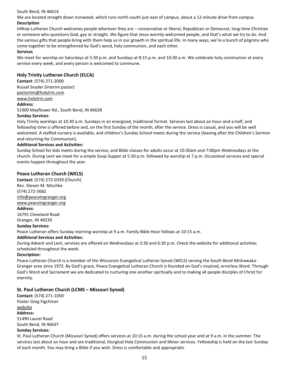#### South Bend, IN 46614

We are located straight down Ironwood, which runs north-south just east of campus, about a 12-minute drive from campus. **Description**

Hilltop Lutheran Church welcomes people wherever they are – conservative or liberal, Republican or Democrat, long-time Christian or someone who questions God, gay or straight. We figure that Jesus warmly welcomed people, and that's what we try to do. And the various gifts that people bring with them help us in our growth in the spiritual life. In many ways, we're a bunch of pilgrims who come together to be strengthened by God's word, holy communion, and each other.

#### **Services**

We meet for worship on Saturdays at 5:30 p.m. and Sundays at 8:15 p.m. and 10:30 a.m. We celebrate holy communion at every service every week, and every person is welcomed to commune.

#### <span id="page-15-0"></span>**Holy Trinity Lutheran Church (ELCA)**

**Contact**: (574) 271-2000 Russel Snyder (interim pastor) [pastortim@holytrin.com](mailto:pastortim@holytrin.com) [www.holytrin.com](http://www.holytrin.com/) **Address**: 51900 Mayflower Rd., South Bend, IN 46628

#### **Sunday Services**:

Holy Trinity worships at 10:30 a.m. Sundays in an energized, traditional format. Services last about an hour-and-a-half, and fellowship time is offered before and, on the first Sunday of the month, after the service. Dress is casual, and you will be well welcomed. A staffed nursery is available, and children's Sunday School meets during the service (leaving after the Children's Sermon and returning for Communion).

#### **Additional Services and Activities:**

Sunday School for kids meets during the service, and Bible classes for adults occur at 10:30am and 7:00pm Wednesdays at the church. During Lent we meet for a simple Soup Supper at 5:30 p.m. followed by worship at 7 p.m. Occasional services and special events happen throughout the year.

#### <span id="page-15-1"></span>**Peace Lutheran Church (WELS)**

**Contact:** (574) 272-0339 (Church) Rev. Steven M. Mischke (574) 272-5682 [info@peaceingranger.org](mailto:info@peaceingranger.org) [www.peaceingranger.org](http://www.peaceingranger.org/) **Address:** 16791 Cleveland Road Granger, IN 46530 **Sunday Services:** Peace Lutheran offers Sunday morning worship at 9 a.m. Family Bible Hour follows at 10:15 a.m. **Additional Services and Activities:**

During Advent and Lent, services are offered on Wednesdays at 3:30 and 6:30 p.m. Check the website for additional activities scheduled throughout the week.

#### **Description:**

Peace Lutheran Church is a member of the Wisconsin Evangelical Lutheran Synod (WELS) serving the South Bend-Mishawaka-Granger area since 1972. By God's grace, Peace Evangelical Lutheran Church is founded on God's inspired, errorless Word. Through God's Word and Sacrament we are dedicated to nurturing one another spiritually and to making all people disciples of Christ for eternity.

#### <span id="page-15-2"></span>**St. Paul Lutheran Church (LCMS – Missouri Synod)**

**Contact:** (574) 271-1050 Pastor Greg Figchtner [website](http://www.lutheransonline.com/servlet/lo_ProcServ/dbpage=page&mode=display&gid=20060176990688205301111555) **Address:** 51490 Laurel Road South Bend, IN 46637 **Sunday Services:**

St. Paul Lutheran Church (Missouri Synod) offers services at 10:15 a.m. during the school year and at 9 a.m. in the summer. The services last about an hour and are traditional, liturgical Holy Communion and Minor services. Fellowship is held on the last Sunday of each month. You may bring a Bible if you wish. Dress is comfortable and appropriate.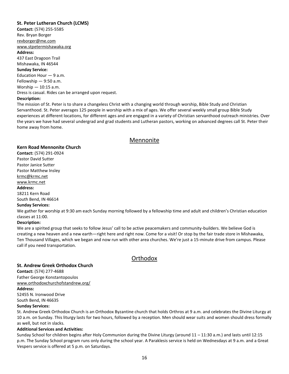#### <span id="page-16-0"></span>**St. Peter Lutheran Church (LCMS)**

**Contact:** (574) 255-5585 Rev. Bryan Borger [revborger@me.com](mailto:revborger@me.com) [www.stpetermishawaka.org](http://www.stpetermishawaka.org/) **Address:** 437 East Dragoon Trail Mishawaka, IN 46544 **Sunday Service:** Education Hour — 9 a.m. Fellowship — 9:50 a.m. Worship — 10:15 a.m. Dress is casual. Rides can be arranged upon request. **Description:**

The mission of St. Peter is to share a changeless Christ with a changing world through worship, Bible Study and Christian Servanthood. St. Peter averages 125 people in worship with a mix of ages. We offer several weekly small group Bible Study experiences at different locations, for different ages and are engaged in a variety of Christian servanthood outreach ministries. Over the years we have had several undergrad and grad students and Lutheran pastors, working on advanced degrees call St. Peter their home away from home.

## Mennonite

#### <span id="page-16-2"></span><span id="page-16-1"></span>**Kern Road Mennonite Church**

**Contact:** (574) 291-0924 Pastor David Sutter Pastor Janice Sutter Pastor Matthew Insley [krmc@krmc.net](mailto:krmc@krmc.net) [www.krmc.net](http://www.krmc.net/) **Address:** 18211 Kern Road South Bend, IN 46614

#### **Sunday Services:**

We gather for worship at 9:30 am each Sunday morning followed by a fellowship time and adult and children's Christian education classes at 11:00.

#### **Description:**

We are a spirited group that seeks to follow Jesus' call to be active peacemakers and community-builders. We believe God is creating a new heaven and a new earth—right here and right now. Come for a visit! Or stop by the fair trade store in Mishawaka, Ten Thousand Villages, which we began and now run with other area churches. We're just a 15-minute drive from campus. Please call if you need transportation.

# **Orthodox**

#### <span id="page-16-4"></span><span id="page-16-3"></span>**St. Andrew Greek Orthodox Church**

**Contact:** (574) 277-4688 Father George Konstantopoulos [www.orthodoxchurchofstandrew.org/](http://www.orthodoxchurchofstandrew.org/)

**Address:**

52455 N. Ironwood Drive South Bend, IN 46635

#### **Sunday Services:**

St. Andrew Greek Orthodox Church is an Orthodox Byzantine church that holds Orthros at 9 a.m. and celebrates the Divine Liturgy at 10 a.m. on Sunday. This liturgy lasts for two hours, followed by a reception. Men should wear suits and women should dress formally as well, but not in slacks.

#### **Additional Services and Activities:**

Sunday School for children begins after Holy Communion during the Divine Liturgy (around 11 – 11:30 a.m.) and lasts until 12:15 p.m. The Sunday School program runs only during the school year. A Paraklesis service is held on Wednesdays at 9 a.m. and a Great Vespers service is offered at 5 p.m. on Saturdays.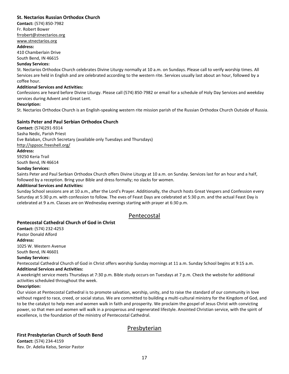#### <span id="page-17-0"></span>**St. Nectarios Russian Orthodox Church**

**Contact:** (574) 850-7982 Fr. Robert Bower [frrobert@stnectarios.org](mailto:frrobert@stnectarios.org)

[www.stnectarios.org](http://www.stnectarios.org/)

#### **Address:**

410 Chamberlain Drive

South Bend, IN 46615

#### **Sunday Services:**

St. Nectarios Orthodox Church celebrates Divine Liturgy normally at 10 a.m. on Sundays. Please call to verify worship times. All Services are held in English and are celebrated according to the western rite. Services usually last about an hour, followed by a coffee hour.

#### **Additional Services and Activities:**

Confessions are heard before Divine Liturgy. Please call (574) 850-7982 or email for a schedule of Holy Day Services and weekday services during Advent and Great Lent.

#### **Description:**

St. Nectarios Orthodox Church is an English-speaking western rite mission parish of the Russian Orthodox Church Outside of Russia.

#### <span id="page-17-1"></span>**Saints Peter and Paul Serbian Orthodox Church**

**Contact:** (574)291-9314 Sasha Nedic, Parish Priest Eve Balaban, Church Secretary (available only Tuesdays and Thursdays) <http://sppsoc.freeshell.org/> **Address:** 59250 Keria Trail South Bend, IN 46614 **Sunday Services:** Saints Peter and Paul Serbian Orthodox Church offers Divine Liturgy at 10 a.m. on Sunday. Services last for an hour and a half, followed by a reception. Bring your Bible and dress formally; no slacks for women.

#### **Additional Services and Activities:**

Sunday School sessions are at 10 a.m., after the Lord's Prayer. Additionally, the church hosts Great Vespers and Confession every Saturday at 5:30 p.m. with confession to follow. The eves of Feast Days are celebrated at 5:30 p.m. and the actual Feast Day is celebrated at 9 a.m. Classes are on Wednesday evenings starting with prayer at 6:30 p.m.

# Pentecostal

#### <span id="page-17-3"></span><span id="page-17-2"></span>**Pentecostal Cathedral Church of God in Christ**

**Contact:** (574) 232-4253 Pastor Donald Alford **Address:** 1025 W. Western Avenue South Bend, IN 46601

#### **Sunday Services:**

Pentecostal Cathedral Church of God in Christ offers worship Sunday mornings at 11 a.m. Sunday School begins at 9:15 a.m. **Additional Services and Activities:**

A weeknight service meets Thursdays at 7:30 p.m. Bible study occurs on Tuesdays at 7 p.m. Check the website for additional activities scheduled throughout the week.

#### **Description:**

Our vision at Pentecostal Cathedral is to promote salvation, worship, unity, and to raise the standard of our community in love without regard to race, creed, or social status. We are committed to building a multi-cultural ministry for the Kingdom of God, and to be the catalyst to help men and women walk in faith and prosperity. We proclaim the gospel of Jesus Christ with convicting power, so that men and women will walk in a prosperous and regenerated lifestyle. Anointed Christian service, with the spirit of excellence, is the foundation of the ministry of Pentecostal Cathedral.

# Presbyterian

#### <span id="page-17-5"></span><span id="page-17-4"></span>**First Presbyterian Church of South Bend**

**Contact:** (574) 234-4159 Rev. Dr. Adelia Kelso, Senior Pastor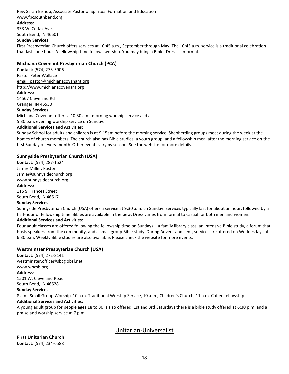Rev. Sarah Bishop, Associate Pastor of Spiritual Formation and Education [www.fpcsouthbend.org](http://www.fpcsouthbend.org/) **Address:** 333 W. Colfax Ave. South Bend, IN 46601 **Sunday Services:**

First Presbyterian Church offers services at 10:45 a.m., September through May. The 10:45 a.m. service is a traditional celebration that lasts one hour. A fellowship time follows worship. You may bring a Bible. Dress is informal.

#### <span id="page-18-0"></span>**Michiana Covenant Presbyterian Church (PCA)**

**Contact:** (574) 273-5906 Pastor Peter Wallace [email: pastor@michianacovenant.org](mailto:pastor@michianacovenant.org) [http://www.michianacovenant.org](http://www.michianacovenant.org/) **Address:** 14567 Cleveland Rd Granger, IN 46530 **Sunday Services:** Michiana Covenant offers a 10:30 a.m. morning worship service and a 5:30 p.m. evening worship service on Sunday.

#### **Additional Services and Activities:**

Sunday School for adults and children is at 9:15am before the morning service. Shepherding groups meet during the week at the homes of church members. The church also has Bible studies, a youth group, and a fellowship meal after the morning service on the first Sunday of every month. Other events vary by season. See the website for more details.

#### <span id="page-18-1"></span>**Sunnyside Presbyterian Church (USA)**

**Contact:** (574) 287-1524 James Miller, Pastor [Jamie@sunnysidechurch.org](mailto:Jamie@sunnysidechurch.org) [www.sunnysidechurch.org](http://www.sunnysidechurch.org/)

#### **Address:**

115 S. Frances Street South Bend, IN 46617

#### **Sunday Services:**

Sunnyside Presbyterian Church (USA) offers a service at 9:30 a.m. on Sunday. Services typically last for about an hour, followed by a half-hour of fellowship time. Bibles are available in the pew. Dress varies from formal to casual for both men and women.

#### **Additional Services and Activities:**

Four adult classes are offered following the fellowship time on Sundays – a family library class, an intensive Bible study, a forum that hosts speakers from the community, and a small group Bible study. During Advent and Lent, services are offered on Wednesdays at 6:30 p.m. Weekly Bible studies are also available. Please check the website for more events.

#### <span id="page-18-2"></span>**Westminster Presbyterian Church (USA)**

**Contact:** (574) 272-8141 [westminster.office@sbcglobal.net](mailto:westminster.office@sbcglobal.net) [www.wpcsb.org](http://www.wpcsb.org/) **Address**: 1501 W. Cleveland Road South Bend, IN 46628 **Sunday Services:** 8 a.m. Small Group Worship, 10 a.m. Traditional Worship Service, 10 a.m., Children's Church, 11 a.m. Coffee fellowship **Additional Services and Activities:**

A young adult group for people ages 18 to 30 is also offered. 1st and 3rd Saturdays there is a bible study offered at 6:30 p.m. and a praise and worship service at 7 p.m.

# Unitarian-Universalist

<span id="page-18-4"></span><span id="page-18-3"></span>**First Unitarian Church Contact:** (574) 234-6588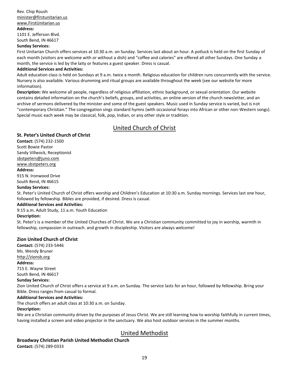# Rev. Chip Roush [minister@firstunitarian.us](mailto:minister@firstunitarian.us) [www.FirstUnitarian.us](http://www.firstunitarian.us/)

#### **Address:**

1101 E. Jefferson Blvd. South Bend, IN 46617

#### **Sunday Services:**

First Unitarian Church offers services at 10:30 a.m. on Sunday. Services last about an hour. A potluck is held on the first Sunday of each month (visitors are welcome with or without a dish) and "coffee and calories" are offered all other Sundays. One Sunday a month, the service is led by the laity or features a guest speaker. Dress is casual.

#### **Additional Services and Activities:**

Adult education class is held on Sundays at 9 a.m. twice a month. Religious education for children runs concurrently with the service. Nursery is also available. Various drumming and ritual groups are available throughout the week (see our website for more information).

**Description:** We welcome all people, regardless of religious affiliation, ethnic background, or sexual orientation. Our website contains detailed information on the church's beliefs, groups, and activities, an online version of the church newsletter, and an archive of sermons delivered by the minister and some of the guest speakers. Music used in Sunday service is varied, but is not "contemporary Christian." The congregation sings standard hymns (with occasional forays into African or other non-Western songs). Special music each week may be classical, folk, pop, Indian, or any other style or tradition.

# United Church of Christ

#### <span id="page-19-1"></span><span id="page-19-0"></span>**St. Peter's United Church of Christ**

**Contact:** (574) 232-1500 Scott Bowie Pastor Sandy Villwock, Receptionist

[sbstpeters@juno.com](mailto:sbstpeters@juno.com)

#### [www.sbstpeters.org](http://www.sbstpeters.org/)

#### **Address:**

915 N. Ironwood Drive South Bend, IN 46615

#### **Sunday Services:**

St. Peter's United Church of Christ offers worship and Children's Education at 10:30 a.m. Sunday mornings. Services last one hour, followed by fellowship. Bibles are provided, if desired. Dress is casual.

#### **Additional Services and Activities:**

9:15 a.m. Adult Study, 11 a.m. Youth Education

#### **Description:**

St. Peter's is a member of the United Churches of Christ. We are a Christian community committed to joy in worship, warmth in fellowship, compassion in outreach. and growth in discipleship. Visitors are always welcome!

#### <span id="page-19-2"></span>**Zion United Church of Christ**

**Contact:** (574) 233-5446 Ms. Wendy Bruner [http://zionsb.org](http://zionsb.org/) **Address:**

#### 715 E. Wayne Street

South Bend, IN 46617

#### **Sunday Services:**

Zion United Church of Christ offers a service at 9 a.m. on Sunday. The service lasts for an hour, followed by fellowship. Bring your Bible. Dress ranges from casual to formal.

#### **Additional Services and Activities:**

The church offers an adult class at 10:30 a.m. on Sunday.

#### **Description:**

We are a Christian community driven by the purposes of Jesus Christ. We are still learning how to worship faithfully in current times, having installed a screen and video projector in the sanctuary. We also host outdoor services in the summer months.

# United Methodist

# <span id="page-19-4"></span><span id="page-19-3"></span>**Broadway Christian Parish United Methodist Church**

**Contact:** (574) 289-0333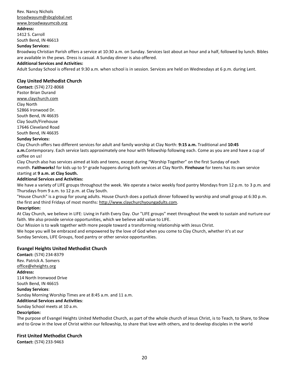#### Rev. Nancy Nichols [broadwayum@sbcglobal.net](mailto:broadwayum@sbcglobal.net)

# [www.broadwayumcsb.org](http://www.broadwayumcsb.org/)

**Address:**

1412 S. Carroll South Bend, IN 46613

#### **Sunday Services:**

Broadway Christian Parish offers a service at 10:30 a.m. on Sunday. Services last about an hour and a half, followed by lunch. Bibles are available in the pews. Dress is casual. A Sunday dinner is also offered.

#### **Additional Services and Activities:**

Adult Sunday School is offered at 9:30 a.m. when school is in session. Services are held on Wednesdays at 6 p.m. during Lent.

#### <span id="page-20-0"></span>**Clay United Methodist Church**

**Contact:** (574) 272-8068 Pastor Brian Durand [www.claychurch.com](http://www.claychurch.com/) Clay North 52866 Ironwood Dr. South Bend, IN 46635 Clay South/Firehouse 17646 Cleveland Road South Bend, IN 46635 **Sunday Services:**

Clay Church offers two different services for adult and family worship at Clay North: **9:15 a.m.** Traditional and **10:45 a.m.**Contemporary. Each service lasts approximately one hour with fellowship following each. Come as you are and have a cup of coffee on us!

Clay Church also has services aimed at kids and teens, except during "Worship Together" on the first Sunday of each month. **Faithworks!** for kids up to 5th grade happens during both services at Clay North. **Firehouse** for teens has its own service starting at **9 a.m. at Clay South.**

#### **Additional Services and Activities:**

We have a variety of LIFE groups throughout the week. We operate a twice weekly food pantry Mondays from 12 p.m. to 3 p.m. and Thursdays from 9 a.m. to 12 p.m. at Clay South.

"House Church" is a group for young adults. House Church does a potluck dinner followed by worship and small group at 6:30 p.m. the first and third Fridays of most months: [http://www.claychurchyoungadults.com.](http://www.claychurchyoungadults.com/)

#### **Description:**

At Clay Church, we believe in LIFE: Living in Faith Every Day. Our "LIFE groups" meet throughout the week to sustain and nurture our faith. We also provide service opportunities, which we believe add value to LIFE.

Our Mission is to walk together with more people toward a transforming relationship with Jesus Christ.

We hope you will be embraced and empowered by the love of God when you come to Clay Church, whether it's at our Sunday Services, LIFE Groups, food pantry or other service opportunities.

#### <span id="page-20-1"></span>**Evangel Heights United Methodist Church**

**Contact:** (574) 234-8379 Rev. Patrick A. Somers [office@eheights.org](mailto:office@eheights.org) **Address:** 114 North Ironwood Drive South Bend, IN 46615 **Sunday Services**: Sunday Morning Worship Times are at 8:45 a.m. and 11 a.m. **Additional Services and Activities**: Sunday School meets at 10 a.m.

#### **Description:**

The purpose of Evangel Heights United Methodist Church, as part of the whole church of Jesus Christ, is to Teach, to Share, to Show and to Grow in the love of Christ within our fellowship, to share that love with others, and to develop disciples in the world

#### <span id="page-20-2"></span>**First United Methodist Church**

**Contact:** (574) 233-9463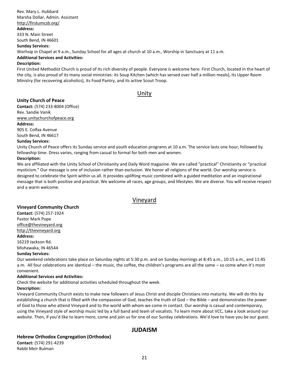#### Rev. Mary L. Hubbard Marsha Dollar, Admin. Assistant <http://firstumcsb.org/>

#### **Address:**

333 N. Main Street

South Bend, IN 46601

# **Sunday Services:**

Worhsip in Chapel at 9 a.m., Sunday School for all ages at church at 10 a.m., Worship in Sanctuary at 11 a.m.

#### **Additional Services and Activities:**

#### **Description:**

First United Methodist Church is proud of its rich diversity of people. Everyone is welcome here. First Church, located in the heart of the city, is also proud of its many social ministries: its Soup Kitchen (which has served over half a million meals), its Upper Room Ministry (for recovering alcoholics), its Food Pantry, and its active Scout Troop.

# Unity

#### <span id="page-21-1"></span><span id="page-21-0"></span>**Unity Church of Peace**

**Contact:** (574) 233-8004 (Office) Rev. Sandie Vanik [www.unitychurchofpeace.org](http://www.unitychurchofpeace.org/) **Address:** 905 E. Colfax Avenue South Bend, IN 46617

#### **Sunday Services:**

Unity Church of Peace offers its Sunday service and youth education programs at 10 a.m. The service lasts one hour, followed by fellowship time. Dress varies, ranging from casual to formal for both men and women.

#### **Description:**

We are affiliated with the Unity School of Christianity and Daily Word magazine. We are called "practical" Christianity or "practical mysticism." Our message is one of inclusion rather than exclusion. We honor all religions of the world. Our worship service is designed to celebrate the Spirit within us all. It provides uplifting music combined with a guided meditation and an inspirational message that is both positive and practical. We welcome all races, age groups, and lifestyles. We are diverse. You will receive respect and a warm welcome.

# Vineyard

## <span id="page-21-3"></span><span id="page-21-2"></span>**Vineyard Community Church**

**Contact:** (574) 257-1924 Pastor Mark Pope [office@thevineyard.org](mailto:office@thevineyard.org) [http://thevineyard.org](http://thevineyard.org/) **Address:**

16219 Jackson Rd. Mishawaka, IN 46544

#### **Sunday Services:**

Our weekend celebrations take place on Saturday nights at 5:30 p.m. and on Sunday mornings at 8:45 a.m., 10:15 a.m., and 11:45 a.m. All four celebrations are identical – the music, the coffee, the children's programs are all the same – so come when it's most convenient.

#### **Additional Services and Activities:**

Check the website for additional activities scheduled throughout the week.

#### **Description:**

Vineyard Community Church exists to make new followers of Jesus Christ and disciple Christians into maturity. We will do this by establishing a church that is filled with the compassion of God, teaches the truth of God – the Bible – and demonstrates the power of God to those who attend Vineyard and to the world with whom we come in contact. Our worship is casual and contemporary, using the Vineyard style of worship music led by a full band and team of vocalists. To learn more about VCC, take a look around our website. Then, if you'd like to learn more, come and join us for one of our Sunday celebrations. We'd love to have you be our guest.

# **JUDAISM**

## <span id="page-21-5"></span><span id="page-21-4"></span>**Hebrew Orthodox Congregation (Orthodox)**

**Contact:** (574) 291-4239 Rabbi Meir Bulman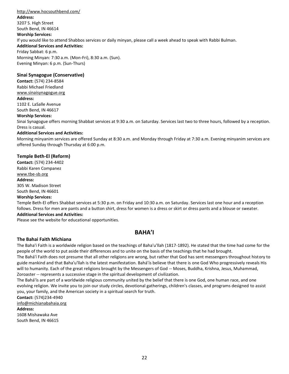#### <http://www.hocsouthbend.com/> **Address:** 3207 S. High Street South Bend, IN 46614 **Worship Services:** If you would like to attend Shabbos services or daily minyan, please call a week ahead to speak with Rabbi Bulman. **Additional Services and Activities:**

Friday Sabbat: 6 p.m. Morning Minyan: 7:30 a.m. (Mon-Fri), 8:30 a.m. (Sun). Evening Minyan: 6 p.m. (Sun-Thurs)

#### <span id="page-22-0"></span>**Sinai Synagogue (Conservative)**

**Contact:** (574) 234-8584 Rabbi Michael Friedland [www.sinaisynagogue.org](http://www.sinaisynagogue.org/)

#### **Address:**

1102 E. LaSalle Avenue South Bend, IN 46617

#### **Worship Services:**

Sinai Synagogue offers morning Shabbat services at 9:30 a.m. on Saturday. Services last two to three hours, followed by a reception. Dress is casual.

#### **Additional Services and Activities:**

Morning minyanim services are offered Sunday at 8:30 a.m. and Monday through Friday at 7:30 a.m. Evening minyanim services are offered Sunday through Thursday at 6:00 p.m.

#### <span id="page-22-1"></span>**Temple Beth-El (Reform)**

**Contact:** (574) 234-4402 Rabbi Karen Companez [www.tbe-sb.org](http://www.tbe-sb.org/) **Address:** 305 W. Madison Street South Bend, IN 46601 **Worship Services:**

Temple Beth-El offers Shabbat services at 5:30 p.m. on Friday and 10:30 a.m. on Saturday. Services last one hour and a reception follows. Dress for men are pants and a button shirt, dress for women is a dress or skirt or dress pants and a blouse or sweater.

#### **Additional Services and Activities:**

Please see the website for educational opportunities.

# **BAHA'I**

#### <span id="page-22-3"></span><span id="page-22-2"></span>**The Bahai Faith Michiana**

The Baha'i Faith is a worldwide religion based on the teachings of Baha'u'llah (1817-1892). He stated that the time had come for the people of the world to put aside their differences and to unite on the basis of the teachings that he had brought.

The Bahá'í Faith does not presume that all other religions are wrong, but rather that God has sent messengers throughout history to guide mankind and that Baha'u'llah is the latest manifestation. Bahá'ís believe that there is one God Who progressively reveals His will to humanity. Each of the great religions brought by the Messengers of God -- Moses, Buddha, Krishna, Jesus, Muhammad, Zoroaster -- represents a successive stage in the spiritual development of civilization.

The Bahá'ís are part of a worldwide religious community united by the belief that there is one God, one human race, and one evolving religion. We invite you to join our study circles, devotional gatherings, children's classes, and programs designed to assist you, your family, and the American society in a spiritual search for truth.

#### **Contact:** (574)234-4940

info@michianabahaia.org

#### **Address:**

1608 Mishawaka Ave South Bend, IN 46615